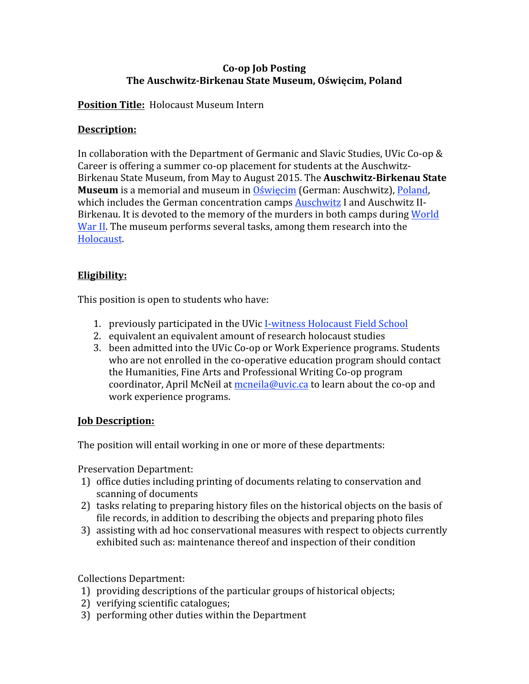# **Co‐op Job Posting The Auschwitz‐Birkenau State Museum, Oświęcim, Poland**

# **Position Title:** Holocaust Museum Intern

# **Description:**

In collaboration with the Department of Germanic and Slavic Studies, UVic Co-op & Career is offering a summer co-op placement for students at the Auschwitz-Birkenau State Museum, from May to August 2015. The **Auschwitz‐Birkenau State Museum** is a memorial and museum in Oświęcim (German: Auschwitz), Poland, which includes the German concentration camps Auschwitz I and Auschwitz II-Birkenau. It is devoted to the memory of the murders in both camps during World War II. The museum performs several tasks, among them research into the Holocaust.

# **Eligibility:**

This position is open to students who have:

- 1. previously participated in the UVic I-witness Holocaust Field School
- 2. equivalent an equivalent amount of research holocaust studies
- 3. been admitted into the UVic Co‐op or Work Experience programs. Students who are not enrolled in the co-operative education program should contact the Humanities, Fine Arts and Professional Writing Co‐op program coordinator, April McNeil at mcneila@uvic.ca to learn about the co-op and work experience programs.

### **Job Description:**

The position will entail working in one or more of these departments:

Preservation Department:

- 1) office duties including printing of documents relating to conservation and scanning of documents
- 2) tasks relating to preparing history files on the historical objects on the basis of file records, in addition to describing the objects and preparing photo files
- 3) assisting with ad hoc conservational measures with respect to objects currently exhibited such as: maintenance thereof and inspection of their condition

Collections Department:

- 1) providing descriptions of the particular groups of historical objects;
- 2) verifying scientific catalogues;
- 3) performing other duties within the Department